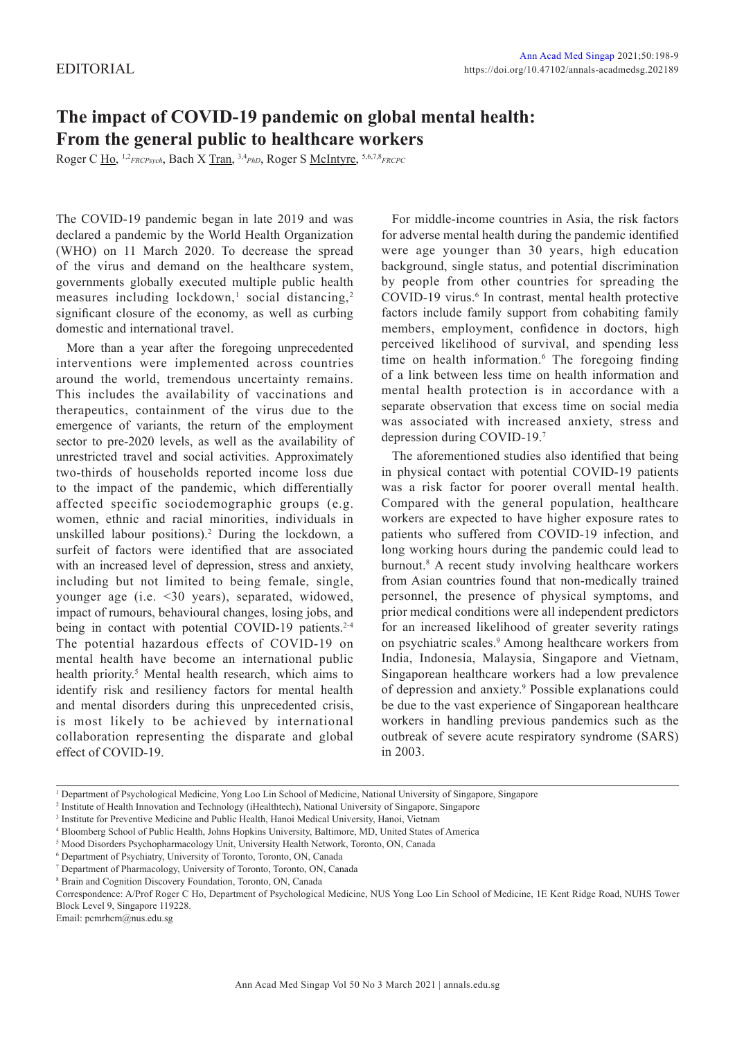## **The impact of COVID-19 pandemic on global mental health: From the general public to healthcare workers**

Roger C Ho, 1,2*FRCPsych*, Bach X Tran, 3,4*PhD*, Roger S McIntyre, 5,6,7,8*FRCPC*

The COVID-19 pandemic began in late 2019 and was declared a pandemic by the World Health Organization (WHO) on 11 March 2020. To decrease the spread of the virus and demand on the healthcare system, governments globally executed multiple public health measures including lockdown,<sup>1</sup> social distancing,<sup>2</sup> significant closure of the economy, as well as curbing domestic and international travel.

More than a year after the foregoing unprecedented interventions were implemented across countries around the world, tremendous uncertainty remains. This includes the availability of vaccinations and therapeutics, containment of the virus due to the emergence of variants, the return of the employment sector to pre-2020 levels, as well as the availability of unrestricted travel and social activities. Approximately two-thirds of households reported income loss due to the impact of the pandemic, which differentially affected specific sociodemographic groups (e.g. women, ethnic and racial minorities, individuals in unskilled labour positions).<sup>2</sup> During the lockdown, a surfeit of factors were identified that are associated with an increased level of depression, stress and anxiety, including but not limited to being female, single, younger age (i.e. <30 years), separated, widowed, impact of rumours, behavioural changes, losing jobs, and being in contact with potential COVID-19 patients.<sup>2-4</sup> The potential hazardous effects of COVID-19 on mental health have become an international public health priority.<sup>5</sup> Mental health research, which aims to identify risk and resiliency factors for mental health and mental disorders during this unprecedented crisis, is most likely to be achieved by international collaboration representing the disparate and global effect of COVID-19.

For middle-income countries in Asia, the risk factors for adverse mental health during the pandemic identified were age younger than 30 years, high education background, single status, and potential discrimination by people from other countries for spreading the COVID-19 virus.<sup>6</sup> In contrast, mental health protective factors include family support from cohabiting family members, employment, confidence in doctors, high perceived likelihood of survival, and spending less time on health information.<sup>6</sup> The foregoing finding of a link between less time on health information and mental health protection is in accordance with a separate observation that excess time on social media was associated with increased anxiety, stress and depression during COVID-19.7

The aforementioned studies also identified that being in physical contact with potential COVID-19 patients was a risk factor for poorer overall mental health. Compared with the general population, healthcare workers are expected to have higher exposure rates to patients who suffered from COVID-19 infection, and long working hours during the pandemic could lead to burnout.8 A recent study involving healthcare workers from Asian countries found that non-medically trained personnel, the presence of physical symptoms, and prior medical conditions were all independent predictors for an increased likelihood of greater severity ratings on psychiatric scales.<sup>9</sup> Among healthcare workers from India, Indonesia, Malaysia, Singapore and Vietnam, Singaporean healthcare workers had a low prevalence of depression and anxiety.<sup>9</sup> Possible explanations could be due to the vast experience of Singaporean healthcare workers in handling previous pandemics such as the outbreak of severe acute respiratory syndrome (SARS) in 2003.

Email: pcmrhcm@nus.edu.sg

<sup>1</sup> Department of Psychological Medicine, Yong Loo Lin School of Medicine, National University of Singapore, Singapore

<sup>2</sup> Institute of Health Innovation and Technology (iHealthtech), National University of Singapore, Singapore

<sup>&</sup>lt;sup>3</sup> Institute for Preventive Medicine and Public Health, Hanoi Medical University, Hanoi, Vietnam

<sup>4</sup> Bloomberg School of Public Health, Johns Hopkins University, Baltimore, MD, United States of America

<sup>5</sup> Mood Disorders Psychopharmacology Unit, University Health Network, Toronto, ON, Canada

<sup>6</sup> Department of Psychiatry, University of Toronto, Toronto, ON, Canada

<sup>7</sup> Department of Pharmacology, University of Toronto, Toronto, ON, Canada

<sup>8</sup> Brain and Cognition Discovery Foundation, Toronto, ON, Canada

Correspondence: A/Prof Roger C Ho, Department of Psychological Medicine, NUS Yong Loo Lin School of Medicine, 1E Kent Ridge Road, NUHS Tower Block Level 9, Singapore 119228.